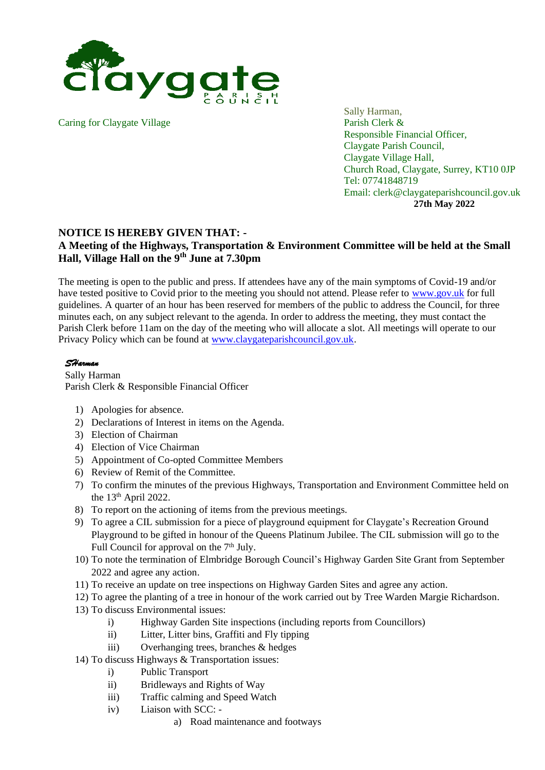

Caring for Claygate Village Parish Clerk &

Sally Harman, Responsible Financial Officer, Claygate Parish Council, Claygate Village Hall, Church Road, Claygate, Surrey, KT10 0JP Tel: 07741848719 Email: clerk@claygateparishcouncil.gov.uk **27th May 2022**

## **NOTICE IS HEREBY GIVEN THAT: -**

## **A Meeting of the Highways, Transportation & Environment Committee will be held at the Small Hall, Village Hall on the 9th June at 7.30pm**

The meeting is open to the public and press. If attendees have any of the main symptoms of Covid-19 and/or have tested positive to Covid prior to the meeting you should not attend. Please refer to [www.gov.uk](http://www.gov.uk/) for full guidelines. A quarter of an hour has been reserved for members of the public to address the Council, for three minutes each, on any subject relevant to the agenda. In order to address the meeting, they must contact the Parish Clerk before 11am on the day of the meeting who will allocate a slot. All meetings will operate to our Privacy Policy which can be found at [www.claygateparishcouncil.gov.uk.](http://www.claygateparishcouncil.gov.uk/)

## *SHarman*

Sally Harman Parish Clerk & Responsible Financial Officer

- 1) Apologies for absence.
- 2) Declarations of Interest in items on the Agenda.
- 3) Election of Chairman
- 4) Election of Vice Chairman
- 5) Appointment of Co-opted Committee Members
- 6) Review of Remit of the Committee.
- 7) To confirm the minutes of the previous Highways, Transportation and Environment Committee held on the  $13<sup>th</sup>$  April 2022.
- 8) To report on the actioning of items from the previous meetings.
- 9) To agree a CIL submission for a piece of playground equipment for Claygate's Recreation Ground Playground to be gifted in honour of the Queens Platinum Jubilee. The CIL submission will go to the Full Council for approval on the 7<sup>th</sup> July.
- 10) To note the termination of Elmbridge Borough Council's Highway Garden Site Grant from September 2022 and agree any action.
- 11) To receive an update on tree inspections on Highway Garden Sites and agree any action.
- 12) To agree the planting of a tree in honour of the work carried out by Tree Warden Margie Richardson.
- 13) To discuss Environmental issues:
	- i) Highway Garden Site inspections (including reports from Councillors)
	- ii) Litter, Litter bins, Graffiti and Fly tipping
	- iii) Overhanging trees, branches & hedges
- 14) To discuss Highways & Transportation issues:
	- i) Public Transport
	- ii) Bridleways and Rights of Way
	- iii) Traffic calming and Speed Watch
	- iv) Liaison with SCC:
		- a) Road maintenance and footways